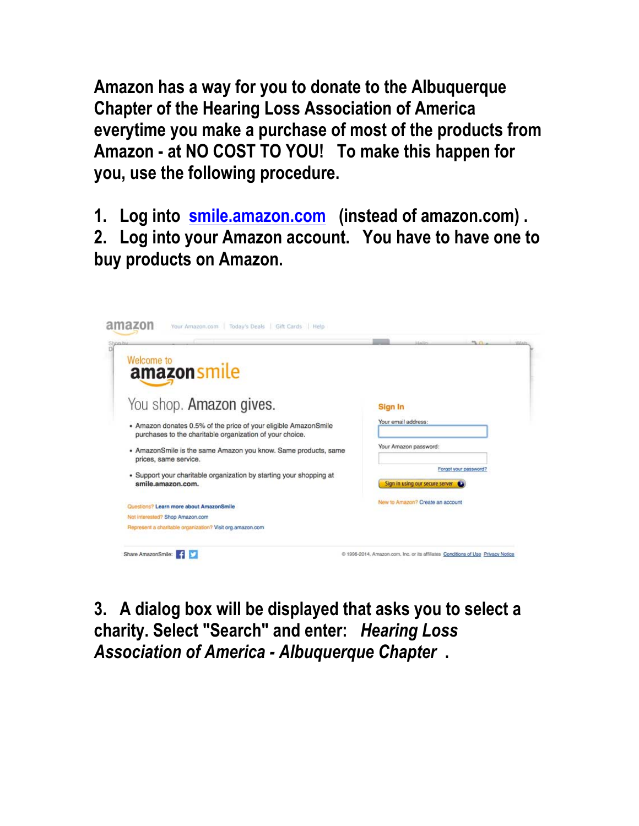**Amazon has a way for you to donate to the Albuquerque Chapter of the Hearing Loss Association of America everytime you make a purchase of most of the products from Amazon - at NO COST TO YOU! To make this happen for you, use the following procedure.**

**1. Log into smile.amazon.com (instead of amazon.com) .** 

**2. Log into your Amazon account. You have to have one to buy products on Amazon.**



**3. A dialog box will be displayed that asks you to select a charity. Select "Search" and enter:** *Hearing Loss Association of America - Albuquerque Chapter* **.**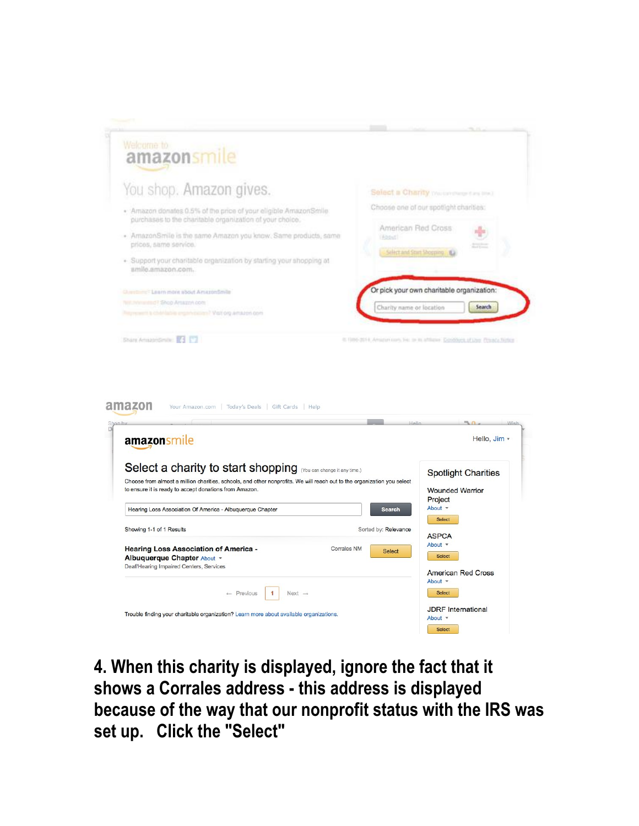

**4. When this charity is displayed, ignore the fact that it shows a Corrales address - this address is displayed because of the way that our nonprofit status with the IRS was set up. Click the "Select"**